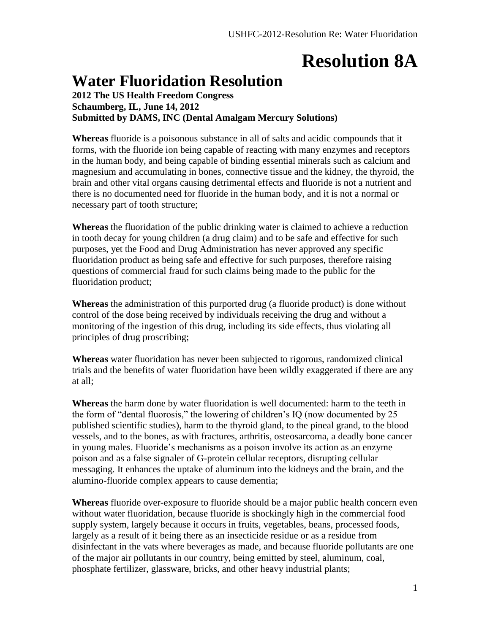## **Resolution 8A**

#### **Water Fluoridation Resolution**

**2012 The US Health Freedom Congress Schaumberg, IL, June 14, 2012 Submitted by DAMS, INC (Dental Amalgam Mercury Solutions)**

**Whereas** fluoride is a poisonous substance in all of salts and acidic compounds that it forms, with the fluoride ion being capable of reacting with many enzymes and receptors in the human body, and being capable of binding essential minerals such as calcium and magnesium and accumulating in bones, connective tissue and the kidney, the thyroid, the brain and other vital organs causing detrimental effects and fluoride is not a nutrient and there is no documented need for fluoride in the human body, and it is not a normal or necessary part of tooth structure;

**Whereas** the fluoridation of the public drinking water is claimed to achieve a reduction in tooth decay for young children (a drug claim) and to be safe and effective for such purposes, yet the Food and Drug Administration has never approved any specific fluoridation product as being safe and effective for such purposes, therefore raising questions of commercial fraud for such claims being made to the public for the fluoridation product;

**Whereas** the administration of this purported drug (a fluoride product) is done without control of the dose being received by individuals receiving the drug and without a monitoring of the ingestion of this drug, including its side effects, thus violating all principles of drug proscribing;

**Whereas** water fluoridation has never been subjected to rigorous, randomized clinical trials and the benefits of water fluoridation have been wildly exaggerated if there are any at all;

**Whereas** the harm done by water fluoridation is well documented: harm to the teeth in the form of "dental fluorosis," the lowering of children's IQ (now documented by 25 published scientific studies), harm to the thyroid gland, to the pineal grand, to the blood vessels, and to the bones, as with fractures, arthritis, osteosarcoma, a deadly bone cancer in young males. Fluoride's mechanisms as a poison involve its action as an enzyme poison and as a false signaler of G-protein cellular receptors, disrupting cellular messaging. It enhances the uptake of aluminum into the kidneys and the brain, and the alumino-fluoride complex appears to cause dementia;

**Whereas** fluoride over-exposure to fluoride should be a major public health concern even without water fluoridation, because fluoride is shockingly high in the commercial food supply system, largely because it occurs in fruits, vegetables, beans, processed foods, largely as a result of it being there as an insecticide residue or as a residue from disinfectant in the vats where beverages as made, and because fluoride pollutants are one of the major air pollutants in our country, being emitted by steel, aluminum, coal, phosphate fertilizer, glassware, bricks, and other heavy industrial plants;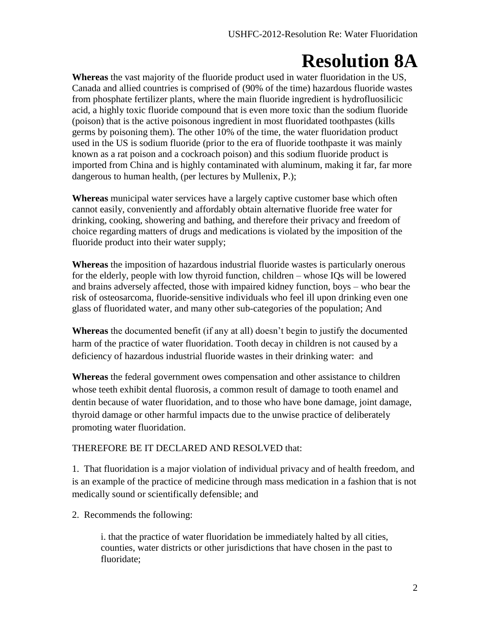# **Resolution 8A**

**Whereas** the vast majority of the fluoride product used in water fluoridation in the US, Canada and allied countries is comprised of (90% of the time) hazardous fluoride wastes from phosphate fertilizer plants, where the main fluoride ingredient is hydrofluosilicic acid, a highly toxic fluoride compound that is even more toxic than the sodium fluoride (poison) that is the active poisonous ingredient in most fluoridated toothpastes (kills germs by poisoning them). The other 10% of the time, the water fluoridation product used in the US is sodium fluoride (prior to the era of fluoride toothpaste it was mainly known as a rat poison and a cockroach poison) and this sodium fluoride product is imported from China and is highly contaminated with aluminum, making it far, far more dangerous to human health, (per lectures by Mullenix, P.);

**Whereas** municipal water services have a largely captive customer base which often cannot easily, conveniently and affordably obtain alternative fluoride free water for drinking, cooking, showering and bathing, and therefore their privacy and freedom of choice regarding matters of drugs and medications is violated by the imposition of the fluoride product into their water supply;

**Whereas** the imposition of hazardous industrial fluoride wastes is particularly onerous for the elderly, people with low thyroid function, children – whose IQs will be lowered and brains adversely affected, those with impaired kidney function, boys – who bear the risk of osteosarcoma, fluoride-sensitive individuals who feel ill upon drinking even one glass of fluoridated water, and many other sub-categories of the population; And

**Whereas** the documented benefit (if any at all) doesn't begin to justify the documented harm of the practice of water fluoridation. Tooth decay in children is not caused by a deficiency of hazardous industrial fluoride wastes in their drinking water: and

**Whereas** the federal government owes compensation and other assistance to children whose teeth exhibit dental fluorosis, a common result of damage to tooth enamel and dentin because of water fluoridation, and to those who have bone damage, joint damage, thyroid damage or other harmful impacts due to the unwise practice of deliberately promoting water fluoridation.

#### THEREFORE BE IT DECLARED AND RESOLVED that:

1. That fluoridation is a major violation of individual privacy and of health freedom, and is an example of the practice of medicine through mass medication in a fashion that is not medically sound or scientifically defensible; and

2. Recommends the following:

i. that the practice of water fluoridation be immediately halted by all cities, counties, water districts or other jurisdictions that have chosen in the past to fluoridate;